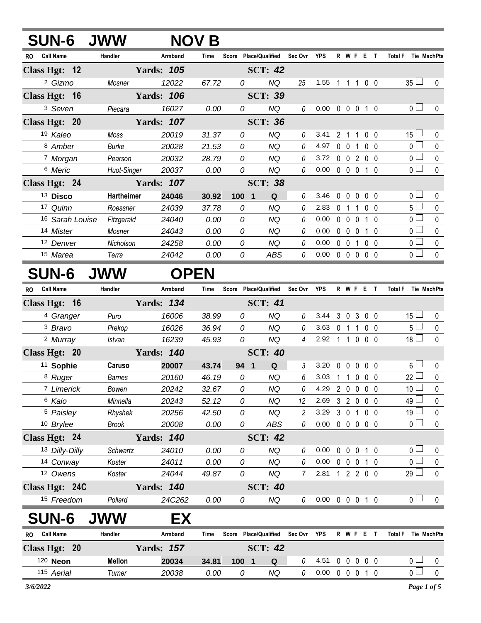| <b>SUN-6</b>                  | <b>JWW</b>        |                   | <b>NOV B</b> |                    |                        |          |            |              |                   |                |                |                   |                                      |              |
|-------------------------------|-------------------|-------------------|--------------|--------------------|------------------------|----------|------------|--------------|-------------------|----------------|----------------|-------------------|--------------------------------------|--------------|
| <b>Call Name</b><br><b>RO</b> | Handler           | Armband           | Time         | <b>Score</b>       | <b>Place/Qualified</b> | Sec Ovr  | <b>YPS</b> | R            | W F               |                | E              | $\mathbf{T}$      | <b>Total F</b><br><b>Tie MachPts</b> |              |
| Class Hgt: 12                 |                   | <b>Yards: 105</b> |              |                    | <b>SCT: 42</b>         |          |            |              |                   |                |                |                   |                                      |              |
| <sup>2</sup> Gizmo            | Mosner            | 12022             | 67.72        | 0                  | NQ                     | 25       | 1.55       |              |                   |                |                | $0\quad 0$        | $35 \Box$                            | $\mathbf{0}$ |
| Class Hgt: 16                 |                   | <b>Yards: 106</b> |              |                    | <b>SCT: 39</b>         |          |            |              |                   |                |                |                   |                                      |              |
| <sup>3</sup> Seven            | Piecara           | 16027             | 0.00         | 0                  | NQ                     | 0        | 0.00       |              | $0\quad 0\quad 0$ |                |                | 1 0               | 0 <sub>1</sub>                       | 0            |
| Class Hgt: 20                 |                   | <b>Yards: 107</b> |              |                    | <b>SCT: 36</b>         |          |            |              |                   |                |                |                   |                                      |              |
| 19 Kaleo                      | Moss              | 20019             | 31.37        | 0                  | <b>NQ</b>              | 0        | 3.41       | $\mathbf{2}$ | -1                | -1             | 0 <sub>0</sub> |                   | $15 \Box$                            | 0            |
| 8 Amber                       | <b>Burke</b>      | 20028             | 21.53        | 0                  | NQ                     | $\theta$ | 4.97       | $\Omega$     | $\overline{0}$    |                | 0 <sub>0</sub> |                   | 0 <sup>1</sup>                       | 0            |
| 7 Morgan                      | Pearson           | 20032             | 28.79        | 0                  | NQ                     | 0        | 3.72       | $\Omega$     | $\Omega$          | 2              | 0 <sub>0</sub> |                   | $\mathbf{0}$                         | $\mathbf{0}$ |
| 6 Meric                       | Huot-Singer       | 20037             | 0.00         | 0                  | NQ                     | 0        | 0.00       |              | $0\quad 0$        | $\overline{0}$ |                | $1\quad$ $\Omega$ | 0 <sub>0</sub>                       | $\Omega$     |
| Class Hgt: 24                 |                   | <b>Yards: 107</b> |              |                    | <b>SCT: 38</b>         |          |            |              |                   |                |                |                   |                                      |              |
| 13 Disco                      | <b>Hartheimer</b> | 24046             | 30.92        | 100<br>$\mathbf 1$ | Q                      | 0        | 3.46       | 0            | $\Omega$          | 0              |                | $0\quad 0$        | 0 l                                  | 0            |
| 17 Quinn                      | Roessner          | 24039             | 37.78        | 0                  | NQ.                    | 0        | 2.83       | $\Omega$     |                   |                | 0              | $\Omega$          | 5 <sup>1</sup>                       | $\Omega$     |
| 16 Sarah Louise               | Fitzgerald        | 24040             | 0.00         | 0                  | NQ                     | $\theta$ | 0.00       | 0            | $\Omega$          |                |                | $\Omega$          | 0 <sub>0</sub>                       | $\Omega$     |
| 14 Mister                     | Mosner            | 24043             | 0.00         | 0                  | ΝQ                     | 0        | 0.00       | 0            | $\Omega$          | $\Omega$       |                | $\Omega$          | 0 L                                  | $\Omega$     |
| 12 Denver                     | Nicholson         | 24258             | 0.00         | 0                  | <b>NQ</b>              | 0        | 0.00       | $\mathbf{0}$ | $\Omega$          |                | $\Omega$       | - 0               | 0 <sup>1</sup>                       | 0            |
| 15 Marea                      | Terra             | 24042             | 0.00         | 0                  | <b>ABS</b>             | 0        | 0.00       | 0            | $\Omega$          | $\mathbf{0}$   | $\mathbf{0}$   | - 0               | 0 L                                  | $\mathbf 0$  |

## **SUN-6 JWW OPEN**

| <b>RO</b> | <b>Call Name</b>     | Handler       | Armband           | <b>Time</b> |                | Score Place/Qualified        | Sec Ovr        | YPS                        |              | R W F E T      |                   |                |                   | <b>Total F</b>  | Tie MachPts  |
|-----------|----------------------|---------------|-------------------|-------------|----------------|------------------------------|----------------|----------------------------|--------------|----------------|-------------------|----------------|-------------------|-----------------|--------------|
|           | Class Hgt: 16        |               | <b>Yards: 134</b> |             |                | <b>SCT: 41</b>               |                |                            |              |                |                   |                |                   |                 |              |
|           | <sup>4</sup> Granger | Puro          | 16006             | 38.99       | 0              | <b>NQ</b>                    | $\theta$       | 3.44                       |              | 3 0 3 0 0      |                   |                |                   | 15 <sup>1</sup> | 0            |
|           | <sup>3</sup> Bravo   | Prekop        | 16026             | 36.94       | 0              | <b>NQ</b>                    | 0              | 3.63                       | $\mathbf{0}$ |                | 1.                | 0 <sub>0</sub> |                   | 5 <sub>1</sub>  | 0            |
|           | <sup>2</sup> Murray  | Istvan        | 16239             | 45.93       | 0              | <b>NQ</b>                    | 4              | 2.92                       |              |                | $\Omega$          | $0\quad 0$     |                   | $18 \Box$       | 0            |
|           | Class Hgt: 20        |               | <b>Yards: 140</b> |             |                | <b>SCT: 40</b>               |                |                            |              |                |                   |                |                   |                 |              |
|           | <sup>11</sup> Sophie | Caruso        | 20007             | 43.74       | 94             | Q<br>$\overline{\mathbf{1}}$ | 3              | 3.20                       | $\mathbf{0}$ | 0              | $\mathbf{0}$      | 0 <sub>0</sub> |                   | $6\perp$        | 0            |
|           | 8 Ruger              | <b>Barnes</b> | 20160             | 46.19       | 0              | <b>NQ</b>                    | 6              | 3.03                       |              |                | $\mathbf{0}$      | 0 <sub>0</sub> |                   | $22 \Box$       | $\mathbf 0$  |
|           | 7 Limerick           | Bowen         | 20242             | 32.67       | $\overline{O}$ | <b>NQ</b>                    | $\theta$       | 4.29                       | $2^{\circ}$  | $\mathbf 0$    | $\mathbf{0}$      | 0 <sub>0</sub> |                   | 10 <sup>°</sup> | $\mathbf 0$  |
|           | 6 Kaio               | Minnella      | 20243             | 52.12       | $\overline{O}$ | <b>NQ</b>                    | 12             | 2.69                       | $\mathbf{3}$ | $\overline{2}$ | $\mathbf 0$       | 0 <sub>0</sub> |                   | $49 \Box$       | $\pmb{0}$    |
|           | 5 Paisley            | Rhyshek       | 20256             | 42.50       | 0              | <b>NQ</b>                    | $\overline{c}$ | 3.29                       | $\mathbf{3}$ | $\mathbf 0$    | 1                 | 0 <sub>0</sub> |                   | $19\square$     | 0            |
|           | 10 Brylee            | <b>Brook</b>  | 20008             | 0.00        | 0              | <b>ABS</b>                   | 0              | 0.00                       | $\mathbf 0$  | $\mathbf 0$    | $0\quad 0\quad 0$ |                |                   | 0 <sub>1</sub>  | 0            |
|           | Class Hgt: 24        |               | <b>Yards: 140</b> |             |                | <b>SCT: 42</b>               |                |                            |              |                |                   |                |                   |                 |              |
|           | 13 Dilly-Dilly       | Schwartz      | 24010             | 0.00        | 0              | <b>NQ</b>                    | 0              | 0.00                       | $\mathbf 0$  | $\mathbf 0$    | 0                 | 1 0            |                   | 0 <sub>l</sub>  | $\mathbf{0}$ |
|           | 14 Conway            | Koster        | 24011             | 0.00        | 0              | NQ                           | 0              | 0.00                       | $\Omega$     | $\mathbf{0}$   | $\mathbf{0}$      | $1\quad0$      |                   | 0 <sup>1</sup>  | $\pmb{0}$    |
|           | 12 Owens             | Koster        | 24044             | 49.87       | 0              | <b>NQ</b>                    | $\overline{7}$ | 2.81                       | $\mathbf{1}$ |                | 2 2 0 0           |                |                   | $29$ $\Box$     | $\mathbf 0$  |
|           | Class Hgt: 24C       |               | <b>Yards: 140</b> |             |                | <b>SCT: 40</b>               |                |                            |              |                |                   |                |                   |                 |              |
|           | 15 Freedom           | Pollard       | 24C262            | 0.00        | 0              | <b>NQ</b>                    | $\theta$       | $0.00 \t0 \t0 \t0 \t1 \t0$ |              |                |                   |                |                   | 0 <sub>1</sub>  | $\Omega$     |
|           | <b>SUN-6</b>         | <b>JWW</b>    | EX                |             |                |                              |                |                            |              |                |                   |                |                   |                 |              |
| <b>RO</b> | <b>Call Name</b>     | Handler       | Armband           | Time        | <b>Score</b>   | <b>Place/Qualified</b>       | Sec Ovr        | <b>YPS</b>                 |              | R W F E T      |                   |                |                   | <b>Total F</b>  | Tie MachPts  |
|           | Class Hgt: 20        |               | <b>Yards: 157</b> |             |                | <b>SCT: 42</b>               |                |                            |              |                |                   |                |                   |                 |              |
|           | 120 <b>Neon</b>      | <b>Mellon</b> | 20034             | 34.81       | 100            | Q<br>$\mathbf 1$             | 0              | 4.51                       | 0            | 0              | 0                 |                | 0 <sub>0</sub>    | 0 <sub>0</sub>  | 0            |
|           | 115 Aerial           | Turner        | 20038             | 0.00        | 0              | <b>NQ</b>                    | 0              | 0.00                       | $\Omega$     | $\Omega$       | $\Omega$          |                | $1\quad$ $\Omega$ | 0 <sup>1</sup>  | $\mathbf{0}$ |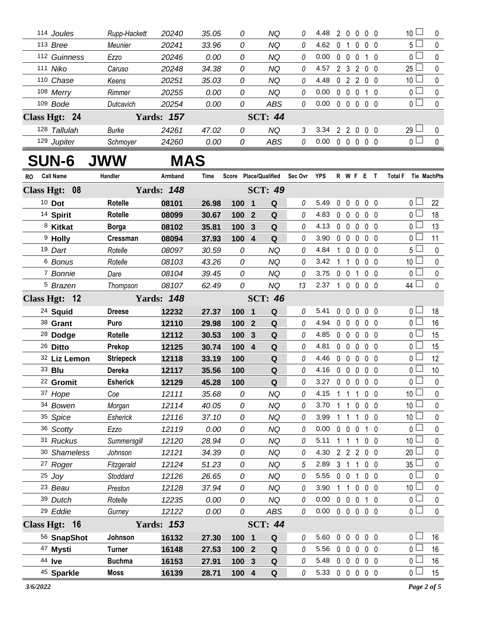| 114 Joules    | Rupp-Hackett  | 20240             | 35.05 | 0 | NQ             | 0 | 4.48 | 2             |   | $\Omega$      | 0 <sub>0</sub> |     | 10 <sup>1</sup> | $\Omega$ |
|---------------|---------------|-------------------|-------|---|----------------|---|------|---------------|---|---------------|----------------|-----|-----------------|----------|
| $113$ Bree    | Meunier       | 20241             | 33.96 | 0 | NQ             | 0 | 4.62 |               |   |               | 0 0            |     | 5 <sub>1</sub>  | $\theta$ |
| 112 Guinness  | Ezzo          | 20246             | 0.00  | 0 | NQ             | 0 | 0.00 | 0             |   |               |                |     | ∩ ∟             | $\Omega$ |
| 111 Niko      | Caruso        | 20248             | 34.38 | 0 | NQ             | 0 | 4.57 | 2             | 3 | $\mathcal{P}$ | 0 0            |     | $25 \Box$       | $\Omega$ |
| 110 Chase     | Keens         | 20251             | 35.03 | 0 | NQ             | 0 | 4.48 | 0             | 2 | 2             | 0 0            |     | 10 <sup>1</sup> | $\Omega$ |
| 108 Merry     | <b>Rimmer</b> | 20255             | 0.00  | 0 | NQ             | 0 | 0.00 | $\Omega$      |   |               |                | - 0 | ∩ —             | $\Omega$ |
| $109$ Bode    | Dutcavich     | 20254             | 0.00  | 0 | ABS            | 0 | 0.00 | $\Omega$      |   |               | 00             |     | ∩∟              | $\Omega$ |
| Class Hgt: 24 |               | <b>Yards: 157</b> |       |   | <b>SCT: 44</b> |   |      |               |   |               |                |     |                 |          |
| 128 Tallulah  | Burke         | 24261             | 47.02 | 0 | NQ             | 3 | 3.34 | $\mathcal{P}$ | 2 | $\Omega$      | 00             |     | $29 \Box$       | $\Omega$ |
| 129 Jupiter   | Schmoyer      | 24260             | 0.00  | 0 | ABS            | 0 | 0.00 | $\Omega$      |   |               | 0 <sub>0</sub> |     | ∩ ∟             | $\Omega$ |

## **SUN-6 JWW MAS**

| RO | <b>Call Name</b>     | Handler          | Armband           | Time  |                  |              | Score Place/Qualified Sec Ovr YPS |          |                |                   |                | R W F E T                |                |          | Total F Tie MachPts   |              |
|----|----------------------|------------------|-------------------|-------|------------------|--------------|-----------------------------------|----------|----------------|-------------------|----------------|--------------------------|----------------|----------|-----------------------|--------------|
|    | Class Hgt: 08        |                  | <b>Yards: 148</b> |       |                  |              | <b>SCT: 49</b>                    |          |                |                   |                |                          |                |          |                       |              |
|    | $10$ Dot             | <b>Rotelle</b>   | 08101             | 26.98 | 1001             |              | Q                                 | 0        | 5.49           | 0                 | $\mathbf 0$    | $\mathbf 0$              | 0 <sub>0</sub> |          | 0 L                   | 22           |
|    | <sup>14</sup> Spirit | <b>Rotelle</b>   | 08099             | 30.67 | 100 <sub>2</sub> |              | Q                                 | $\theta$ | 4.83           | 0                 | 0              | 0                        | $0\quad 0$     |          | $0\perp$              | 18           |
|    | <sup>8</sup> Kitkat  | <b>Borga</b>     | 08102             | 35.81 | 100 3            |              | Q                                 | 0        | 4.13           | 0 0 0 0 0         |                |                          |                |          | $\overline{0}$        | 13           |
|    | <sup>9</sup> Holly   | Cressman         | 08094             | 37.93 | 100 4            |              | $\mathbf Q$                       | 0        | 3.90           | $\mathbf 0$       | $\mathbf 0$    | $\mathbf 0$              | 0 <sub>0</sub> |          | 0 <sub>0</sub>        | 11           |
|    | 19 Dart              | Rotelle          | 08097             | 30.59 | 0                |              | ΝQ                                | 0        | 4.84           | 1                 | $\pmb{0}$      | 0                        | $0\quad 0$     |          | 5 <sub>1</sub>        | 0            |
|    | 6 Bonus              | Rotelle          | 08103             | 43.26 | 0                |              | <b>NQ</b>                         | $\theta$ | 3.42           |                   |                | 1 1 0 0 0                |                |          | 10 $\lfloor$          | $\pmb{0}$    |
|    | 7 Bonnie             | Dare             | 08104             | 39.45 | 0                |              | <b>NQ</b>                         | $\theta$ | 3.75           | $\mathbf 0$       | $\mathbf 0$    | $\mathbf{1}$             | $0\quad 0$     |          | 0 <sub>l</sub>        | $\pmb{0}$    |
|    | <sup>5</sup> Brazen  | Thompson         | 08107             | 62.49 | 0                |              | <b>NQ</b>                         | 13       | 2.37           | $\overline{1}$    |                | $0\quad 0\quad 0\quad 0$ |                |          | 44 $\Box$             | $\mathbf 0$  |
|    | Class Hgt: 12        |                  | <b>Yards: 148</b> |       |                  |              | <b>SCT: 46</b>                    |          |                |                   |                |                          |                |          |                       |              |
|    | <sup>24</sup> Squid  | <b>Dreese</b>    | 12232             | 27.37 | 100 1            |              | Q                                 | 0        | 5.41           | $\mathbf 0$       | 0              | 0                        | 0 <sub>0</sub> |          | 0 L                   | 18           |
|    | 38 Grant             | Puro             | 12110             | 29.98 | 100 2            |              | Q                                 | $\theta$ | 4.94           | $\mathbf 0$       | $\mathbf 0$    | $\mathbf 0$              | $0\quad 0$     |          | 0 <sub>0</sub>        | 16           |
|    | <sup>28</sup> Dodge  | <b>Rotelle</b>   | 12112             | 30.53 | 100              | $\mathbf{3}$ | Q                                 | $\theta$ | 4.85           | $\mathbf 0$       | $\mathbf 0$    | 0                        | $0\quad 0$     |          | 0 <sub>l</sub>        | 15           |
|    | 26 Ditto             | Prekop           | 12125             | 30.74 | 100 4            |              | Q                                 | 0        | 4.81           |                   |                | 00000                    |                |          | 0 <sub>0</sub>        | 15           |
|    | 32 Liz Lemon         | <b>Striepeck</b> | 12118             | 33.19 | 100              |              | Q                                 | 0        | 4.46           | $\mathbf 0$       | $\mathbf 0$    | $\mathbf 0$              | 0 <sub>0</sub> |          | 0 <sub>0</sub>        | 12           |
|    | 33 <b>Blu</b>        | Dereka           | 12117             | 35.56 | 100              |              | $\mathbf Q$                       | 0        | 4.16           | $\mathbf 0$       | $\mathbf 0$    | $\mathbf 0$              | $0\quad 0$     |          | 0 <sub>0</sub>        | 10           |
|    | 22 Gromit            | <b>Esherick</b>  | 12129             | 45.28 | 100              |              | Q                                 | 0        | 3.27           | $0\quad 0$        |                | $\mathbf 0$              | $0\quad 0$     |          | $0-$                  | $\pmb{0}$    |
|    | 37 Hope              | Coe              | 12111             | 35.68 | 0                |              | <b>NQ</b>                         | 0        | 4.15           | 1                 | $\mathbf{1}$   | $\mathbf 1$              | 0 <sub>0</sub> |          | 10                    | 0            |
|    | 34 Bowen             | Morgan           | 12114             | 40.05 | 0                |              | ΝQ                                | 0        | 3.70           | 1                 | 1              | 0                        | 0 <sub>0</sub> |          | 10                    | $\mathbf 0$  |
|    | 35 Spice             | Esherick         | 12116             | 37.10 | 0                |              | <b>NQ</b>                         | 0        | 3.99           | $\mathbf{1}$      | $\overline{1}$ | $\mathbf{1}$             | 0 <sub>0</sub> |          | 10 <sup>2</sup>       | $\pmb{0}$    |
|    | 36 Scotty            | Ezzo             | 12119             | 0.00  | 0                |              | <b>NQ</b>                         | 0        | 0.00           | $\mathbf 0$       | $\mathbf 0$    | 0                        | $\mathbf 1$    | $\Omega$ | $\overline{0}$ $\Box$ | $\pmb{0}$    |
|    | 31 Ruckus            | Summersgill      | 12120             | 28.94 | 0                |              | ΝQ                                | $\theta$ | 5.11           | 1                 | $\overline{1}$ | $\mathbf{1}$             | $0\quad 0$     |          | 10 <sup>1</sup>       | 0            |
|    | 30 Shameless         | Johnson          | 12121             | 34.39 | 0                |              | <b>NQ</b>                         | 0        | 4.30           |                   |                | 2 2 2 0 0                |                |          | 20                    | 0            |
|    | <sup>27</sup> Roger  | Fitzgerald       | 12124             | 51.23 | 0                |              | <b>NQ</b>                         | 5        | 2.89           | 3 <sub>1</sub>    |                | $\mathbf{1}$             | 0 <sub>0</sub> |          | 35                    | 0            |
|    | $25$ Joy             | Stoddard         | 12126             | 26.65 | 0                |              | ΝQ                                | 0        | 5.55           | $\pmb{0}$         | $\mathbf 0$    | $\overline{1}$           | 0 <sub>0</sub> |          | 0 <sup>1</sup>        | $\pmb{0}$    |
|    | 23 Beau              | Preston          | 12128             | 37.94 | 0                |              | <b>NQ</b>                         | 0        | 3.90           | 1                 | $\overline{1}$ | $\mathbf 0$              | $0\quad 0$     |          | 10 <sup>1</sup>       | $\pmb{0}$    |
|    | 39 Dutch             | Rotelle          | 12235             | 0.00  | 0                |              | <b>NQ</b>                         | 0        | 0.00           | $0\quad 0\quad 0$ |                |                          | $1\quad0$      |          | 0 <sub>0</sub>        | $\pmb{0}$    |
|    | <sup>29</sup> Eddie  | Gurney           | 12122             | 0.00  | 0                |              | <b>ABS</b>                        | 0        | 0.00           |                   |                | $0\;0\;0\;0\;0$          |                |          | $\overline{0}$        | $\mathbf{0}$ |
|    | Class Hgt: 16        |                  | <b>Yards: 153</b> |       |                  |              | <b>SCT: 44</b>                    |          |                |                   |                |                          |                |          |                       |              |
|    | 56 SnapShot          | Johnson          | 16132             | 27.30 | 100 1            |              | Q                                 | 0        | 5.60           | $\mathbf 0$       | $\mathbf 0$    | $\mathbf 0$              | 0 <sub>0</sub> |          | 0 <sup>1</sup>        | 16           |
|    | 47 Mysti             | <b>Turner</b>    | 16148             | 27.53 | 100 2            |              | Q                                 | 0        | 5.56           | $\mathbf 0$       | $\mathbf 0$    | 0                        | $0\quad 0$     |          | $\overline{0}$        | 16           |
|    | 44 Ive               | <b>Buchma</b>    | 16153             | 27.91 | 100              | 3            | $\mathbf Q$                       | 0        | 5.48           | $\mathbf{0}$      | $\mathbf{0}$   | 0                        | 0 <sub>0</sub> |          | 0 <sub>0</sub>        | 16           |
|    | 45 Sparkle           | Moss             | 16139             | 28.71 | 100 4            |              | Q                                 | 0        | 5.33 0 0 0 0 0 |                   |                |                          |                |          | 0 <sub>0</sub>        | 15           |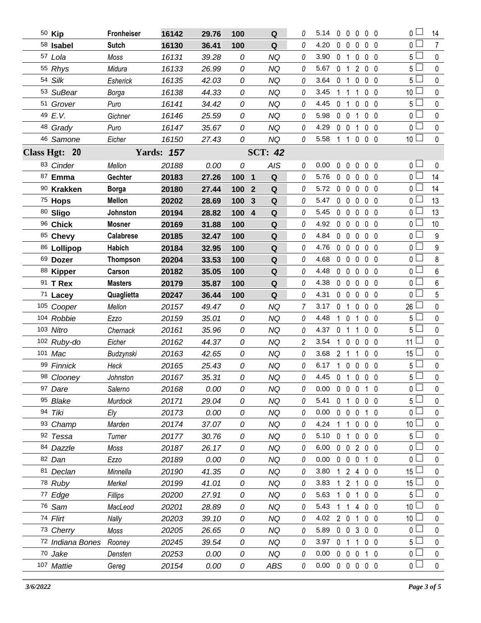| 50 Kip           | <b>Fronheiser</b> | 16142             | 29.76 | 100 |                | ${\bf Q}$      | 0              | 5.14                       | $\mathbf{0}$   | 0                 | $\bf{0}$          | 0 <sub>0</sub> |     | 0 L                               | 14             |
|------------------|-------------------|-------------------|-------|-----|----------------|----------------|----------------|----------------------------|----------------|-------------------|-------------------|----------------|-----|-----------------------------------|----------------|
| 58 Isabel        | <b>Sutch</b>      | 16130             | 36.41 | 100 |                | Q              | 0              | 4.20                       | 0              | $\mathbf 0$       | 0                 | $0\quad 0$     |     | $\overline{0}$                    | $\overline{7}$ |
| 57 Lola          | Moss              | 16131             | 39.28 | 0   |                | <b>NQ</b>      | 0              | 3.90                       | $\mathbf 0$    | $\overline{1}$    | $\mathbf 0$       | 0 <sub>0</sub> |     | 5 <sup>1</sup>                    | $\mathbf 0$    |
| 55 Rhys          | Midura            | 16133             | 26.99 | 0   |                | <b>NQ</b>      | 0              | 5.67                       | $\mathbf 0$    | $\overline{1}$    | $\overline{2}$    | 0 <sub>0</sub> |     | $5\Box$                           | $\mathbf 0$    |
| 54 Silk          | Esherick          | 16135             | 42.03 | 0   |                | <b>NQ</b>      | 0              | 3.64                       | 0              | $\overline{1}$    | $\mathbf{0}$      | 0 <sub>0</sub> |     | $5\perp$                          | $\mathbf 0$    |
| 53 SuBear        | Borga             | 16138             | 44.33 | 0   |                | <b>NQ</b>      | 0              | 3.45                       | 1              | 1                 | 1                 | $0\quad 0$     |     | $\mathcal{L}^{\mathcal{L}}$<br>10 | $\pmb{0}$      |
| 51 Grover        | Puro              | 16141             | 34.42 | 0   |                | <b>NQ</b>      | 0              | 4.45                       | $\mathbf 0$    | $\overline{1}$    | $\mathbf{0}$      | 0 <sub>0</sub> |     | 5 <sup>5</sup>                    | $\pmb{0}$      |
| 49 E.V.          | Gichner           | 16146             | 25.59 | 0   |                | <b>NQ</b>      | 0              | 5.98                       | $0\quad 0$     |                   | 1                 | $\mathbf 0$    | 0   | 0 <sup>1</sup>                    | $\pmb{0}$      |
| 48 Grady         | Puro              | 16147             | 35.67 | 0   |                | <b>NQ</b>      | 0              | 4.29                       | $\mathbf 0$    | $\overline{0}$    | 1                 | 0 <sub>0</sub> |     | 0 L                               | $\pmb{0}$      |
| 46 Samone        | Eicher            | 16150             | 27.43 | 0   |                | NQ             | 0              | 5.58                       |                | $1\quad1$         | $\mathbf 0$       | 0 <sub>0</sub> |     | 10 <sup>1</sup>                   | $\pmb{0}$      |
| Class Hgt: 20    |                   | <b>Yards: 157</b> |       |     |                | <b>SCT: 42</b> |                |                            |                |                   |                   |                |     |                                   |                |
| 83 Cinder        | Mellon            | 20188             | 0.00  | 0   |                | AIS            | 0              | 0.00                       | $\mathbf{0}$   | $\mathbf{0}$      | $\mathbf{0}$      | 0 <sub>0</sub> |     | 0 <sub>0</sub>                    | $\mathbf{0}$   |
| 87 Emma          | Gechter           | 20183             | 27.26 | 100 | $\mathbf{1}$   | ${\bf Q}$      | 0              | 5.76                       | 0              | $\mathbf 0$       | $\mathbf 0$       | 0 <sub>0</sub> |     | $_0$ $\Box$                       | 14             |
| 90 Krakken       | <b>Borga</b>      | 20180             | 27.44 | 100 | $\overline{2}$ | $\mathbf Q$    | 0              | 5.72                       | $\mathbf 0$    | $\mathbf 0$       | 0                 | 0 <sub>0</sub> |     | 0 <sup>1</sup>                    | 14             |
| 75 Hops          | Mellon            | 20202             | 28.69 | 100 | 3              | Q              | 0              | 5.47                       |                | $0\quad 0$        | 0                 | 0 <sub>0</sub> |     | $\overline{0}$                    | 13             |
| 80 Sligo         | Johnston          | 20194             | 28.82 | 100 | $\overline{4}$ | Q              | 0              | 5.45                       | $\mathbf 0$    | $\mathbf 0$       | $\mathbf 0$       | 0 <sub>0</sub> |     | 0 <sub>1</sub>                    | 13             |
| 96 Chick         | <b>Mosner</b>     | 20169             | 31.88 | 100 |                | $\mathbf Q$    | 0              | 4.92                       | $\mathbf 0$    | $\mathbf 0$       | 0                 | 0 <sub>0</sub> |     | 0 <sup>2</sup>                    | 10             |
| 85 Chevy         | <b>Calabrese</b>  | 20185             | 32.47 | 100 |                | $\mathbf Q$    | 0              | 4.84                       |                | $0\quad 0$        | $\mathbf 0$       | 0 <sub>0</sub> |     | 0 L                               | 9              |
| 86 Lollipop      | Habich            | 20184             | 32.95 | 100 |                | $\mathbf Q$    | 0              | 4.76                       |                | $0\quad 0$        | $\mathbf 0$       | 0 <sub>0</sub> |     | $\overline{0}$                    | $\overline{9}$ |
| 69 Dozer         | <b>Thompson</b>   | 20204             | 33.53 | 100 |                | Q              | 0              | 4.68                       | $\mathbf{0}$   | $\overline{0}$    | $\mathbf 0$       | 0 <sub>0</sub> |     | $\overline{0}$                    | 8              |
| 88 Kipper        | Carson            | 20182             | 35.05 | 100 |                | $\mathbf Q$    | 0              | 4.48                       | $\mathbf 0$    | $\overline{0}$    | 0                 | 0 <sub>0</sub> |     | $\overline{0}$                    | $6\phantom{a}$ |
| 91 T Rex         | <b>Masters</b>    | 20179             | 35.87 | 100 |                | Q              | 0              | 4.38                       |                | $0\quad 0$        | $\mathbf 0$       | 0 <sub>0</sub> |     | 0 <sub>l</sub>                    | 6              |
| 71 Lacey         | Quaglietta        | 20247             | 36.44 | 100 |                | Q              | 0              | 4.31                       |                | $0\quad 0$        | $\mathbf 0$       | 0 <sub>0</sub> |     | $\overline{0}$                    | 5              |
| 105 Cooper       | Mellon            | 20157             | 49.47 | 0   |                | <b>NQ</b>      | 7              | 3.17                       | $\mathbf 0$    | $\mathbf{1}$      | $\mathbf 0$       | 0 <sub>0</sub> |     | 26                                | 0              |
| 104 Robbie       | Ezzo              | 20159             | 35.01 | 0   |                | <b>NQ</b>      | 0              | 4.48                       | 1              | $\overline{0}$    | 1                 | $\mathbf 0$    | - 0 | 5 <sup>1</sup>                    | $\pmb{0}$      |
| 103 Nitro        | Chernack          | 20161             | 35.96 | 0   |                | <b>NQ</b>      | 0              | 4.37                       | 0 <sub>1</sub> |                   | 1                 | 0 <sub>0</sub> |     | 5 <sup>1</sup>                    | $\pmb{0}$      |
| 102 Ruby-do      | Eicher            | 20162             | 44.37 | 0   |                | <b>NQ</b>      | $\overline{c}$ | 3.54                       | $\mathbf{1}$   | $\mathbf 0$       | $\mathbf{0}$      | 0 <sub>0</sub> |     | ∟<br>11                           | $\mathbf 0$    |
| 101 Mac          | Budzynski         | 20163             | 42.65 | 0   |                | <b>NQ</b>      | 0              | 3.68                       | 2 <sub>1</sub> |                   | 1                 | 0 <sub>0</sub> |     | 15                                | $\pmb{0}$      |
| 99 Finnick       | Heck              | 20165             | 25.43 | 0   |                | <b>NQ</b>      | 0              | 6.17                       |                | $1\quad 0$        | $\mathbf 0$       | $0\quad 0$     |     | $5\Box$                           | $\pmb{0}$      |
| 98 Clooney       | Johnston          | 20167             | 35.31 | 0   |                | NQ             | 0              | 4.45 0 1 0 0 0             |                |                   |                   |                |     | 5                                 | $\Omega$       |
| 97 Dare          | Salerno           | 20168             | 0.00  | 0   |                | NQ             | 0              | $0.00\,$                   |                |                   | 0 0 0 1 0         |                |     | $\overline{0}$                    | $\mathbf 0$    |
| 95 Blake         | Murdock           | 20171             | 29.04 | 0   |                | NQ             | 0              | 5.41                       | 0 <sub>1</sub> |                   | 0                 | $0\quad 0$     |     | 5 <sup>1</sup>                    | $\mathbf{0}$   |
| 94 Tiki          | Ely               | 20173             | 0.00  | 0   |                | NQ             | 0              | 0.00                       |                | $0\quad 0$        | 0                 | $1\quad0$      |     | 0 <sup>1</sup>                    | $\mathbf 0$    |
| 93 Champ         | Marden            | 20174             | 37.07 | 0   |                | NQ             | 0              | 4.24                       |                | 11                | $0\quad0\quad0$   |                |     | 10 <sup>1</sup>                   | $\mathbf 0$    |
| 92 Tessa         | Turner            | 20177             | 30.76 | 0   |                | NQ             | 0              | 5.10                       |                | 0 <sub>1</sub>    | $0\quad 0\quad 0$ |                |     | 5 <sub>1</sub>                    | $\pmb{0}$      |
| 84 Dazzle        | Moss              | 20187             | 26.17 | 0   |                | <b>NQ</b>      | 0              | 6.00                       |                |                   | 0 0 2 0 0         |                |     | 0 l                               | $\mathbf 0$    |
| 82 Dan           | Ezzo              | 20189             | 0.00  | 0   |                | NQ             | 0              | 0.00                       |                | $0\quad 0$        | $\mathbf 0$       | $1\quad 0$     |     | 0 <sup>1</sup>                    | $\pmb{0}$      |
| 81 Declan        | Minnella          | 20190             | 41.35 | 0   |                | NQ             | 0              | 3.80                       |                |                   | 1 2 4 0 0         |                |     | 15                                | $\mathbf{0}$   |
| 78 Ruby          | Merkel            | 20199             | 41.01 | 0   |                | NQ             | 0              | 3.83                       | 1.             | 2 <sub>1</sub>    |                   | $0\quad 0$     |     | 15 <sup>1</sup>                   | $\pmb{0}$      |
| 77 Edge          | Fillips           | 20200             | 27.91 | 0   |                | NQ             | 0              | 5.63                       | $\mathbf{1}$   | 0 <sub>1</sub>    |                   | $0\quad 0$     |     | $5\phantom{.0}$                   | 0              |
| 76 Sam           | MacLeod           | 20201             | 28.89 | 0   |                | NQ             | 0              | 5.43                       | 1              | 1                 | 4 0 0             |                |     | 10 <sup>1</sup>                   | $\pmb{0}$      |
| 74 Flirt         | Nally             | 20203             | 39.10 | 0   |                | NQ             | 0              | 4.02                       |                | $2\quad0$         | 1                 | $0\quad 0$     |     | 10 l                              | $\mathbf{0}$   |
| 73 Cherry        | Moss              | 20205             | 26.65 | 0   |                | NQ             | 0              | 5.89                       |                | $0 \t0 \t3$       |                   | $0\quad 0$     |     | 0 <sub>1</sub>                    | $\pmb{0}$      |
| 72 Indiana Bones | Rooney            | 20245             | 39.54 | 0   |                | <b>NQ</b>      | 0              | 3.97                       |                | 0 <sub>1</sub>    | 1                 | $0\quad 0$     |     | 5 <sup>1</sup>                    | 0              |
| 70 Jake          | Densten           | 20253             | 0.00  | 0   |                | <b>NQ</b>      | 0              | 0.00                       |                | $0\quad 0\quad 0$ |                   | $1\quad 0$     |     | 0 <sub>0</sub>                    | $\pmb{0}$      |
| 107 Mattie       | Gereg             | 20154             | 0.00  | 0   |                | ABS            | 0              | $0.00 \t0 \t0 \t0 \t0 \t0$ |                |                   |                   |                |     | 0 <sub>0</sub>                    | $\mathbf 0$    |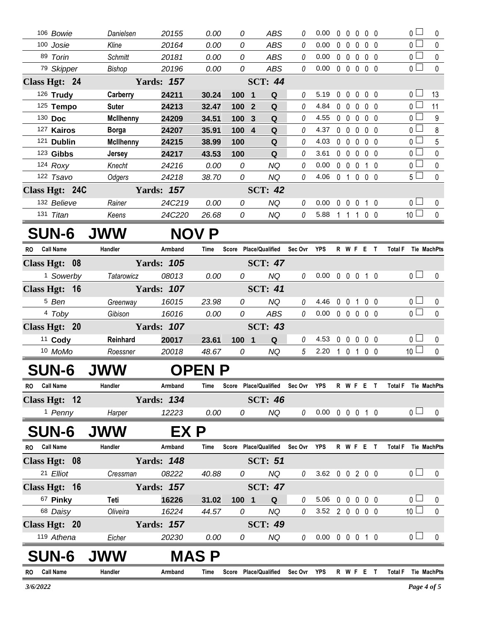| 119 Athena                            | Eicher                           | 20230                      | 0.00           | 0              | NQ                                | 0               | $0.00 \t0 \t0 \t0 \t1 \t0$ |             |                        |                   |                | 0 <sub>0</sub>                    | $\mathbf{0}$ |
|---------------------------------------|----------------------------------|----------------------------|----------------|----------------|-----------------------------------|-----------------|----------------------------|-------------|------------------------|-------------------|----------------|-----------------------------------|--------------|
| Class Hgt: 20                         |                                  | <b>Yards: 157</b>          |                |                | <b>SCT: 49</b>                    |                 |                            |             |                        |                   |                |                                   |              |
| 68 Daisy                              | Oliveira                         | 16224                      | 44.57          | 0              | <b>NQ</b>                         | $\mathcal O$    | 3.52 2 0 0 0 0             |             |                        |                   |                | 10 <sup>1</sup>                   | 0            |
| 67 Pinky                              | Teti                             | 16226                      | 31.02          | 100 1          | Q                                 | 0               | 5.06                       | $\mathbf 0$ | $\mathbf 0$            | $\mathbf 0$       | $0\quad 0$     | 0 <sub>1</sub>                    | $\mathbf 0$  |
| Class Hgt: 16                         |                                  | <b>Yards: 157</b>          |                |                | <b>SCT: 47</b>                    |                 |                            |             |                        |                   |                |                                   |              |
| 21 Elliot                             | Cressman                         | 08222                      | 40.88          | 0              | <b>NQ</b>                         | 0               | 3.62 0 0 2 0 0             |             |                        |                   |                | 0 <sub>1</sub>                    | 0            |
| Class Hgt: 08                         |                                  | <b>Yards: 148</b>          |                |                | <b>SCT: 51</b>                    |                 |                            |             |                        |                   |                |                                   |              |
| RO Call Name                          | Handler                          | Armband                    | Time           |                | Score Place/Qualified             | Sec Ovr YPS     |                            |             |                        | R W F E T         |                | Total F Tie MachPts               |              |
| <b>SUN-6</b>                          | <b>JWW</b>                       | EX P                       |                |                |                                   |                 |                            |             |                        |                   |                |                                   |              |
| <sup>1</sup> Penny                    | Harper                           | 12223                      | 0.00           | 0              | NQ                                | 0               | $0.00 \t0 \t0 \t0 \t1 \t0$ |             |                        |                   |                | 0 <sub>0</sub>                    | $\mathbf 0$  |
| Class Hgt: 12                         |                                  | <b>Yards: 134</b>          |                |                | <b>SCT: 46</b>                    |                 |                            |             |                        |                   |                |                                   |              |
| <b>Call Name</b><br>RO                | Handler                          | Armband                    | Time           |                | Score Place/Qualified Sec Ovr YPS |                 |                            |             |                        | R W F E T         |                | Total F Tie MachPts               |              |
| <b>SUN-6</b>                          | <b>JWW</b>                       |                            | <b>OPEN P</b>  |                |                                   |                 |                            |             |                        |                   |                |                                   |              |
| 10 MoMo                               | Roessner                         | 20018                      | 48.67          | 0              | <b>NQ</b>                         | $5\overline{)}$ | 2.20                       | 1 0 1       |                        |                   | $0\quad 0$     | 10 <sup>1</sup>                   | $\mathbf 0$  |
| 11 Cody                               | Reinhard                         | 20017                      | 23.61          | 100 1          | $\mathbf Q$                       | 0               | 4.53                       | 0           | $\mathbf 0$            | $\mathbf 0$       | 0 <sub>0</sub> | 0 <sub>0</sub>                    | 0            |
| Class Hgt: 20                         |                                  | <b>Yards: 107</b>          |                |                | <b>SCT: 43</b>                    |                 |                            |             |                        |                   |                |                                   |              |
| 4 Toby                                | Gibison                          | 16016                      | 0.00           | 0              | <b>ABS</b>                        | $\mathcal O$    | 0.00                       |             |                        | 00000             |                | $\overline{0}$                    | $\mathbf{0}$ |
| <sup>5</sup> Ben                      | Greenway                         | 16015                      | 23.98          | 0              | <b>NQ</b>                         | 0               | 4.46                       |             | $0\quad 0$             | $\overline{1}$    | $0\quad 0$     | 0 <sub>0</sub>                    | 0            |
| <sup>1</sup> Sowerby<br>Class Hgt: 16 | Tatarowicz                       | 08013<br><b>Yards: 107</b> | 0.00           |                | <b>NQ</b><br><b>SCT: 41</b>       |                 |                            |             |                        |                   |                |                                   |              |
| Class Hgt: 08                         |                                  | <b>Yards: 105</b>          |                | 0              | <b>SCT: 47</b>                    | 0               | 0.00                       |             |                        | 0 0 0 1 0         |                | 0 <sub>l</sub>                    | $\mathbf 0$  |
| <b>Call Name</b><br>RO                | Handler                          | Armband                    | Time           |                | Score Place/Qualified Sec Ovr YPS |                 |                            |             |                        | R W F E T         |                | Total F Tie MachPts               |              |
| <b>SUN-6</b>                          | <b>JWW</b>                       |                            | <b>NOV P</b>   |                |                                   |                 |                            |             |                        |                   |                |                                   |              |
|                                       | Keens                            | 24C220                     | 26.68          | 0              | <b>NQ</b>                         | $\theta$        | 5.88                       |             |                        | 1 1 1 0 0         |                |                                   | $\pmb{0}$    |
| 132 Believe<br>131 Titan              | Rainer                           | 24C219                     | 0.00           | 0              | NQ                                | 0               | 0.00                       |             | $0\quad 0\quad 0$      |                   | 1 0            | 0 <sub>1</sub><br>10 <sup>1</sup> | 0            |
| Class Hgt: 24C                        |                                  | <b>Yards: 157</b>          |                |                | <b>SCT: 42</b>                    |                 |                            |             |                        |                   |                |                                   |              |
| 122 Tsavo                             | Odgers                           | 24218                      | 38.70          | 0              | <b>NQ</b>                         | 0               | 4.06                       |             |                        | 0 1 0 0 0         |                | 5 <sub>1</sub>                    | $\mathbf 0$  |
| 124 Roxy                              | Knecht                           | 24216                      | 0.00           | 0              | <b>NQ</b>                         | 0               | 0.00                       |             | $0\quad 0\quad 0$      |                   | 1 0            | $\overline{0}$                    | $\pmb{0}$    |
| 123 Gibbs                             | <b>Jersey</b>                    | 24217                      | 43.53          | 100            | Q                                 | 0               | 3.61                       |             | $0\quad 0\quad 0$      |                   | $0\quad 0$     | 0 l                               | 0            |
| 121 Dublin                            | <b>McIlhenny</b>                 | 24215                      | 38.99          | 100            | $\mathbf Q$                       | 0               | 4.03                       |             |                        | $0\quad 0\quad 0$ | $0\quad 0$     | 0 <sub>0</sub>                    | 5            |
| 127 Kairos                            | <b>Borga</b>                     | 24207                      | 35.91          | 100 4          | Q                                 | 0               | 4.37                       |             | $0\quad 0\quad 0$      |                   | $0\quad 0$     | 0 l                               | 8            |
| 125 Tempo<br>130 Doc                  | <b>Suter</b><br><b>McIlhenny</b> | 24213<br>24209             | 32.47<br>34.51 | 100 2<br>100 3 | Q<br>Q                            | $\theta$<br>0   | 4.84<br>4.55               |             | $0\quad 0\quad 0$      | 00000             | 0 <sub>0</sub> | 0 <sup>2</sup><br>0 <sup>1</sup>  | 11<br>9      |
| 126 Trudy                             | Carberry                         | 24211                      | 30.24          | 100 1          | Q                                 | 0               | 5.19                       |             | $0\quad 0$             | $\mathbf 0$       | $0\quad 0$     | 0 <sub>1</sub>                    | 13           |
| Class Hgt: 24                         |                                  | <b>Yards: 157</b>          |                |                | <b>SCT: 44</b>                    |                 |                            |             |                        |                   |                |                                   |              |
| 79 Skipper                            | Bishop                           | 20196                      | 0.00           | 0              | <b>ABS</b>                        | 0               | 0.00                       |             | $0\quad 0\quad 0$      |                   | 0 <sub>0</sub> | 0 L                               | $\Omega$     |
| 89 Torin                              | <b>Schmitt</b>                   | 20181                      | 0.00           | 0              | <b>ABS</b>                        | 0               | 0.00                       |             |                        | $0\quad 0\quad 0$ | $0\quad 0$     | 0 <sub>1</sub>                    | 0            |
| 100 Josie                             | Kline                            | 20164                      | 0.00           | 0              | <b>ABS</b>                        | 0               | 0.00                       |             | $0\quad 0\quad 0$      |                   | 0 <sub>0</sub> | 0 <sup>1</sup>                    | $\mathbf 0$  |
| 106 Bowie                             | Danielsen                        | 20155                      | 0.00           | 0              | <b>ABS</b>                        | 0               | 0.00                       |             | $0\quad 0\quad 0\quad$ |                   | $0\quad 0$     | $\overline{0}$                    | 0            |